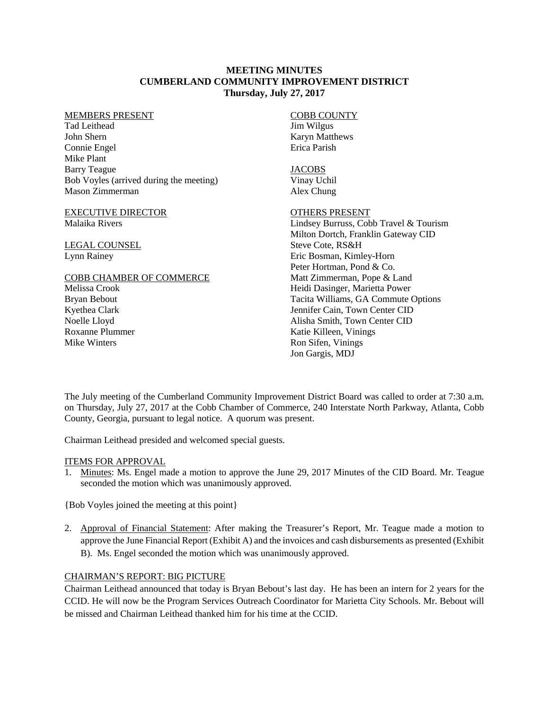#### **MEETING MINUTES CUMBERLAND COMMUNITY IMPROVEMENT DISTRICT Thursday, July 27, 2017**

#### MEMBERS PRESENT

Tad Leithead John Shern Connie Engel Mike Plant Barry Teague Bob Voyles (arrived during the meeting) Mason Zimmerman

#### EXECUTIVE DIRECTOR Malaika Rivers

LEGAL COUNSEL Lynn Rainey

#### COBB CHAMBER OF COMMERCE

Melissa Crook Bryan Bebout Kyethea Clark Noelle Lloyd Roxanne Plummer Mike Winters

#### COBB COUNTY Jim Wilgus Karyn Matthews Erica Parish

# JACOBS

Vinay Uchil Alex Chung

# OTHERS PRESENT

Lindsey Burruss, Cobb Travel & Tourism Milton Dortch, Franklin Gateway CID Steve Cote, RS&H Eric Bosman, Kimley-Horn Peter Hortman, Pond & Co. Matt Zimmerman, Pope & Land Heidi Dasinger, Marietta Power Tacita Williams, GA Commute Options Jennifer Cain, Town Center CID Alisha Smith, Town Center CID Katie Killeen, Vinings Ron Sifen, Vinings Jon Gargis, MDJ

The July meeting of the Cumberland Community Improvement District Board was called to order at 7:30 a.m. on Thursday, July 27, 2017 at the Cobb Chamber of Commerce, 240 Interstate North Parkway, Atlanta, Cobb County, Georgia, pursuant to legal notice. A quorum was present.

Chairman Leithead presided and welcomed special guests.

### ITEMS FOR APPROVAL

1. Minutes: Ms. Engel made a motion to approve the June 29, 2017 Minutes of the CID Board. Mr. Teague seconded the motion which was unanimously approved.

{Bob Voyles joined the meeting at this point}

2. Approval of Financial Statement: After making the Treasurer's Report, Mr. Teague made a motion to approve the June Financial Report (Exhibit A) and the invoices and cash disbursements as presented (Exhibit B). Ms. Engel seconded the motion which was unanimously approved.

## CHAIRMAN'S REPORT: BIG PICTURE

Chairman Leithead announced that today is Bryan Bebout's last day. He has been an intern for 2 years for the CCID. He will now be the Program Services Outreach Coordinator for Marietta City Schools. Mr. Bebout will be missed and Chairman Leithead thanked him for his time at the CCID.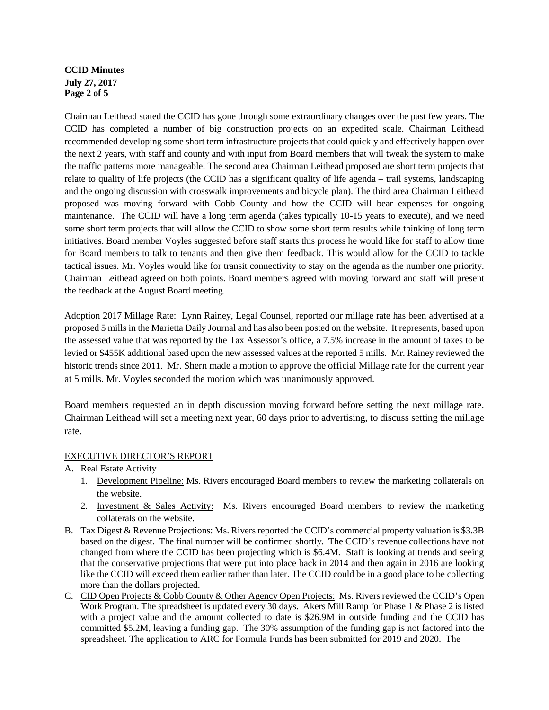# **CCID Minutes July 27, 2017 Page 2 of 5**

Chairman Leithead stated the CCID has gone through some extraordinary changes over the past few years. The CCID has completed a number of big construction projects on an expedited scale. Chairman Leithead recommended developing some short term infrastructure projects that could quickly and effectively happen over the next 2 years, with staff and county and with input from Board members that will tweak the system to make the traffic patterns more manageable. The second area Chairman Leithead proposed are short term projects that relate to quality of life projects (the CCID has a significant quality of life agenda – trail systems, landscaping and the ongoing discussion with crosswalk improvements and bicycle plan). The third area Chairman Leithead proposed was moving forward with Cobb County and how the CCID will bear expenses for ongoing maintenance. The CCID will have a long term agenda (takes typically 10-15 years to execute), and we need some short term projects that will allow the CCID to show some short term results while thinking of long term initiatives. Board member Voyles suggested before staff starts this process he would like for staff to allow time for Board members to talk to tenants and then give them feedback. This would allow for the CCID to tackle tactical issues. Mr. Voyles would like for transit connectivity to stay on the agenda as the number one priority. Chairman Leithead agreed on both points. Board members agreed with moving forward and staff will present the feedback at the August Board meeting.

Adoption 2017 Millage Rate: Lynn Rainey, Legal Counsel, reported our millage rate has been advertised at a proposed 5 mills in the Marietta Daily Journal and has also been posted on the website. It represents, based upon the assessed value that was reported by the Tax Assessor's office, a 7.5% increase in the amount of taxes to be levied or \$455K additional based upon the new assessed values at the reported 5 mills. Mr. Rainey reviewed the historic trends since 2011. Mr. Shern made a motion to approve the official Millage rate for the current year at 5 mills. Mr. Voyles seconded the motion which was unanimously approved.

Board members requested an in depth discussion moving forward before setting the next millage rate. Chairman Leithead will set a meeting next year, 60 days prior to advertising, to discuss setting the millage rate.

### EXECUTIVE DIRECTOR'S REPORT

- A. Real Estate Activity
	- 1. Development Pipeline: Ms. Rivers encouraged Board members to review the marketing collaterals on the website.
	- 2. Investment & Sales Activity: Ms. Rivers encouraged Board members to review the marketing collaterals on the website.
- B. Tax Digest & Revenue Projections: Ms. Rivers reported the CCID's commercial property valuation is \$3.3B based on the digest. The final number will be confirmed shortly. The CCID's revenue collections have not changed from where the CCID has been projecting which is \$6.4M. Staff is looking at trends and seeing that the conservative projections that were put into place back in 2014 and then again in 2016 are looking like the CCID will exceed them earlier rather than later. The CCID could be in a good place to be collecting more than the dollars projected.
- C. CID Open Projects & Cobb County & Other Agency Open Projects: Ms. Rivers reviewed the CCID's Open Work Program. The spreadsheet is updated every 30 days. Akers Mill Ramp for Phase 1 & Phase 2 is listed with a project value and the amount collected to date is \$26.9M in outside funding and the CCID has committed \$5.2M, leaving a funding gap. The 30% assumption of the funding gap is not factored into the spreadsheet. The application to ARC for Formula Funds has been submitted for 2019 and 2020. The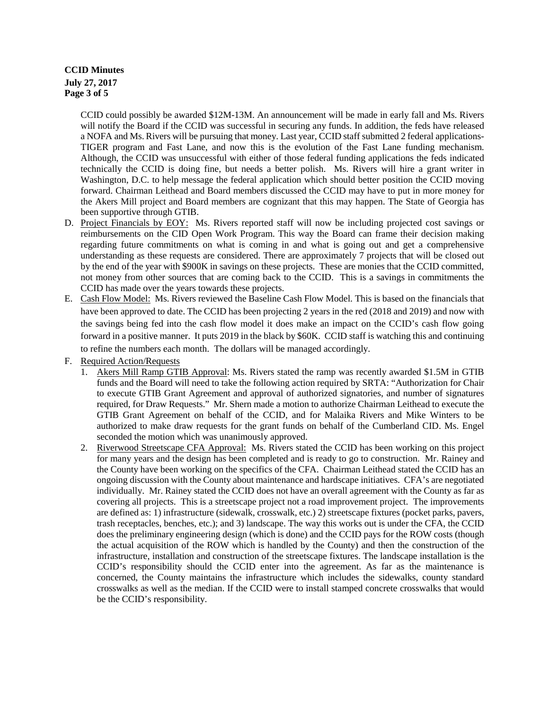## **CCID Minutes July 27, 2017 Page 3 of 5**

CCID could possibly be awarded \$12M-13M. An announcement will be made in early fall and Ms. Rivers will notify the Board if the CCID was successful in securing any funds. In addition, the feds have released a NOFA and Ms. Rivers will be pursuing that money. Last year, CCID staff submitted 2 federal applications-TIGER program and Fast Lane, and now this is the evolution of the Fast Lane funding mechanism. Although, the CCID was unsuccessful with either of those federal funding applications the feds indicated technically the CCID is doing fine, but needs a better polish. Ms. Rivers will hire a grant writer in Washington, D.C. to help message the federal application which should better position the CCID moving forward. Chairman Leithead and Board members discussed the CCID may have to put in more money for the Akers Mill project and Board members are cognizant that this may happen. The State of Georgia has been supportive through GTIB.

- D. Project Financials by EOY: Ms. Rivers reported staff will now be including projected cost savings or reimbursements on the CID Open Work Program. This way the Board can frame their decision making regarding future commitments on what is coming in and what is going out and get a comprehensive understanding as these requests are considered. There are approximately 7 projects that will be closed out by the end of the year with \$900K in savings on these projects. These are monies that the CCID committed, not money from other sources that are coming back to the CCID. This is a savings in commitments the CCID has made over the years towards these projects.
- E. Cash Flow Model: Ms. Rivers reviewed the Baseline Cash Flow Model. This is based on the financials that have been approved to date. The CCID has been projecting 2 years in the red (2018 and 2019) and now with the savings being fed into the cash flow model it does make an impact on the CCID's cash flow going forward in a positive manner. It puts 2019 in the black by \$60K. CCID staff is watching this and continuing to refine the numbers each month. The dollars will be managed accordingly.
- F. Required Action/Requests
	- 1. Akers Mill Ramp GTIB Approval: Ms. Rivers stated the ramp was recently awarded \$1.5M in GTIB funds and the Board will need to take the following action required by SRTA: "Authorization for Chair to execute GTIB Grant Agreement and approval of authorized signatories, and number of signatures required, for Draw Requests." Mr. Shern made a motion to authorize Chairman Leithead to execute the GTIB Grant Agreement on behalf of the CCID, and for Malaika Rivers and Mike Winters to be authorized to make draw requests for the grant funds on behalf of the Cumberland CID. Ms. Engel seconded the motion which was unanimously approved.
	- 2. Riverwood Streetscape CFA Approval: Ms. Rivers stated the CCID has been working on this project for many years and the design has been completed and is ready to go to construction. Mr. Rainey and the County have been working on the specifics of the CFA. Chairman Leithead stated the CCID has an ongoing discussion with the County about maintenance and hardscape initiatives. CFA's are negotiated individually. Mr. Rainey stated the CCID does not have an overall agreement with the County as far as covering all projects. This is a streetscape project not a road improvement project. The improvements are defined as: 1) infrastructure (sidewalk, crosswalk, etc.) 2) streetscape fixtures (pocket parks, pavers, trash receptacles, benches, etc.); and 3) landscape. The way this works out is under the CFA, the CCID does the preliminary engineering design (which is done) and the CCID pays for the ROW costs (though the actual acquisition of the ROW which is handled by the County) and then the construction of the infrastructure, installation and construction of the streetscape fixtures. The landscape installation is the CCID's responsibility should the CCID enter into the agreement. As far as the maintenance is concerned, the County maintains the infrastructure which includes the sidewalks, county standard crosswalks as well as the median. If the CCID were to install stamped concrete crosswalks that would be the CCID's responsibility.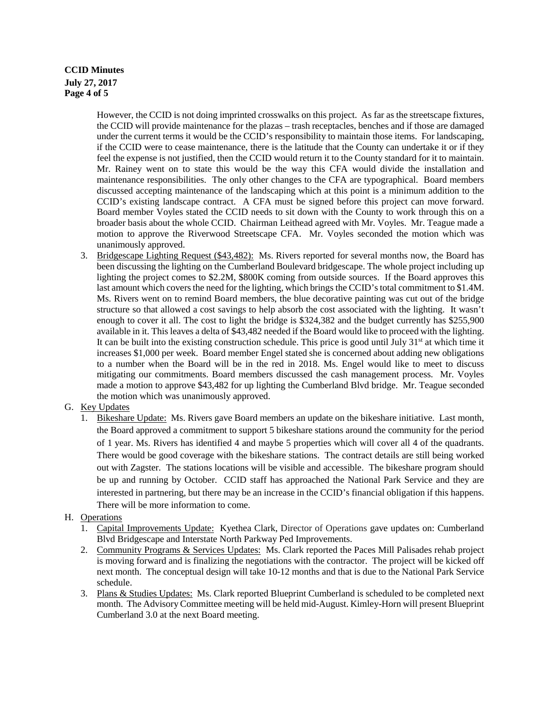# **CCID Minutes July 27, 2017 Page 4 of 5**

However, the CCID is not doing imprinted crosswalks on this project. As far as the streetscape fixtures, the CCID will provide maintenance for the plazas – trash receptacles, benches and if those are damaged under the current terms it would be the CCID's responsibility to maintain those items. For landscaping, if the CCID were to cease maintenance, there is the latitude that the County can undertake it or if they feel the expense is not justified, then the CCID would return it to the County standard for it to maintain. Mr. Rainey went on to state this would be the way this CFA would divide the installation and maintenance responsibilities. The only other changes to the CFA are typographical. Board members discussed accepting maintenance of the landscaping which at this point is a minimum addition to the CCID's existing landscape contract. A CFA must be signed before this project can move forward. Board member Voyles stated the CCID needs to sit down with the County to work through this on a broader basis about the whole CCID. Chairman Leithead agreed with Mr. Voyles. Mr. Teague made a motion to approve the Riverwood Streetscape CFA. Mr. Voyles seconded the motion which was unanimously approved.

3. Bridgescape Lighting Request (\$43,482): Ms. Rivers reported for several months now, the Board has been discussing the lighting on the Cumberland Boulevard bridgescape. The whole project including up lighting the project comes to \$2.2M, \$800K coming from outside sources. If the Board approves this last amount which covers the need for the lighting, which brings the CCID's total commitment to \$1.4M. Ms. Rivers went on to remind Board members, the blue decorative painting was cut out of the bridge structure so that allowed a cost savings to help absorb the cost associated with the lighting. It wasn't enough to cover it all. The cost to light the bridge is \$324,382 and the budget currently has \$255,900 available in it. This leaves a delta of \$43,482 needed if the Board would like to proceed with the lighting. It can be built into the existing construction schedule. This price is good until July  $31<sup>st</sup>$  at which time it increases \$1,000 per week. Board member Engel stated she is concerned about adding new obligations to a number when the Board will be in the red in 2018. Ms. Engel would like to meet to discuss mitigating our commitments. Board members discussed the cash management process. Mr. Voyles made a motion to approve \$43,482 for up lighting the Cumberland Blvd bridge. Mr. Teague seconded the motion which was unanimously approved.

### G. Key Updates

1. Bikeshare Update: Ms. Rivers gave Board members an update on the bikeshare initiative. Last month, the Board approved a commitment to support 5 bikeshare stations around the community for the period of 1 year. Ms. Rivers has identified 4 and maybe 5 properties which will cover all 4 of the quadrants. There would be good coverage with the bikeshare stations. The contract details are still being worked out with Zagster. The stations locations will be visible and accessible. The bikeshare program should be up and running by October. CCID staff has approached the National Park Service and they are interested in partnering, but there may be an increase in the CCID's financial obligation if this happens. There will be more information to come.

# H. Operations

- 1. Capital Improvements Update:Kyethea Clark, Director of Operations gave updates on: Cumberland Blvd Bridgescape and Interstate North Parkway Ped Improvements.
- 2. Community Programs & Services Updates: Ms. Clark reported the Paces Mill Palisades rehab project is moving forward and is finalizing the negotiations with the contractor. The project will be kicked off next month. The conceptual design will take 10-12 months and that is due to the National Park Service schedule.
- 3. Plans & Studies Updates: Ms. Clark reported Blueprint Cumberland is scheduled to be completed next month. The Advisory Committee meeting will be held mid-August. Kimley-Horn will present Blueprint Cumberland 3.0 at the next Board meeting.